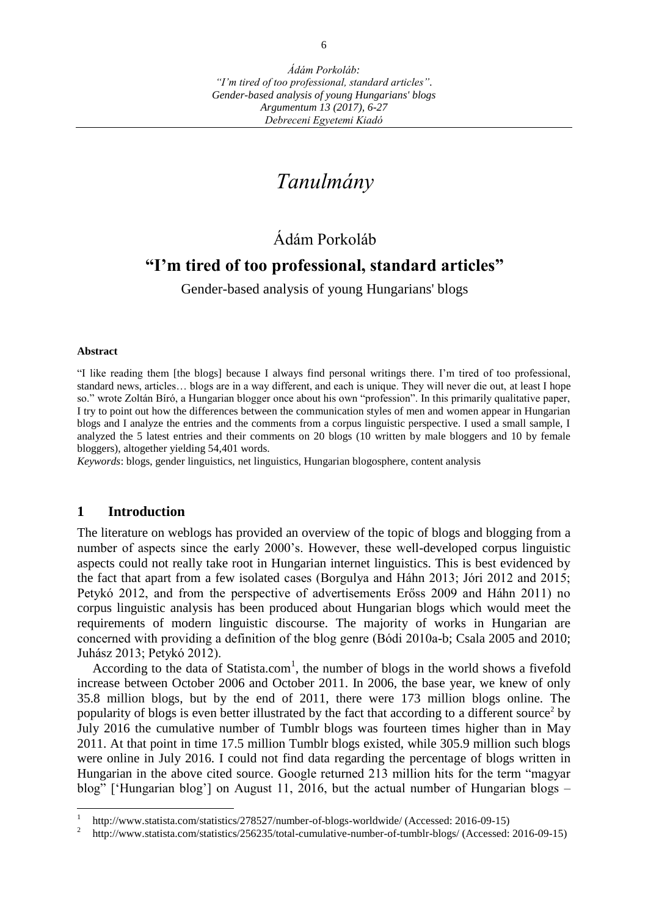# *Tanulmány*

## Ádám Porkoláb

## **"I'm tired of too professional, standard articles"**

Gender-based analysis of young Hungarians' blogs

#### **Abstract**

 $\overline{a}$ 

"I like reading them [the blogs] because I always find personal writings there. I'm tired of too professional, standard news, articles… blogs are in a way different, and each is unique. They will never die out, at least I hope so." wrote Zoltán Bíró, a Hungarian blogger once about his own "profession". In this primarily qualitative paper, I try to point out how the differences between the communication styles of men and women appear in Hungarian blogs and I analyze the entries and the comments from a corpus linguistic perspective. I used a small sample, I analyzed the 5 latest entries and their comments on 20 blogs (10 written by male bloggers and 10 by female bloggers), altogether yielding 54,401 words.

*Keywords*: blogs, gender linguistics, net linguistics, Hungarian blogosphere, content analysis

#### **1 Introduction**

The literature on weblogs has provided an overview of the topic of blogs and blogging from a number of aspects since the early 2000's. However, these well-developed corpus linguistic aspects could not really take root in Hungarian internet linguistics. This is best evidenced by the fact that apart from a few isolated cases (Borgulya and Háhn 2013; Jóri 2012 and 2015; Petykó 2012, and from the perspective of advertisements Erőss 2009 and Háhn 2011) no corpus linguistic analysis has been produced about Hungarian blogs which would meet the requirements of modern linguistic discourse. The majority of works in Hungarian are concerned with providing a definition of the blog genre (Bódi 2010a-b; Csala 2005 and 2010; Juhász 2013; Petykó 2012).

According to the data of Statista.com<sup>1</sup>, the number of blogs in the world shows a fivefold increase between October 2006 and October 2011. In 2006, the base year, we knew of only 35.8 million blogs, but by the end of 2011, there were 173 million blogs online. The popularity of blogs is even better illustrated by the fact that according to a different source<sup>2</sup> by July 2016 the cumulative number of Tumblr blogs was fourteen times higher than in May 2011. At that point in time 17.5 million Tumblr blogs existed, while 305.9 million such blogs were online in July 2016. I could not find data regarding the percentage of blogs written in Hungarian in the above cited source. Google returned 213 million hits for the term "magyar blog" ['Hungarian blog'] on August 11, 2016, but the actual number of Hungarian blogs –

<sup>1</sup> http://www.statista.com/statistics/278527/number-of-blogs-worldwide/ (Accessed: 2016-09-15)

<sup>2</sup> <http://www.statista.com/statistics/256235/total-cumulative-number-of-tumblr-blogs/> (Accessed: 2016-09-15)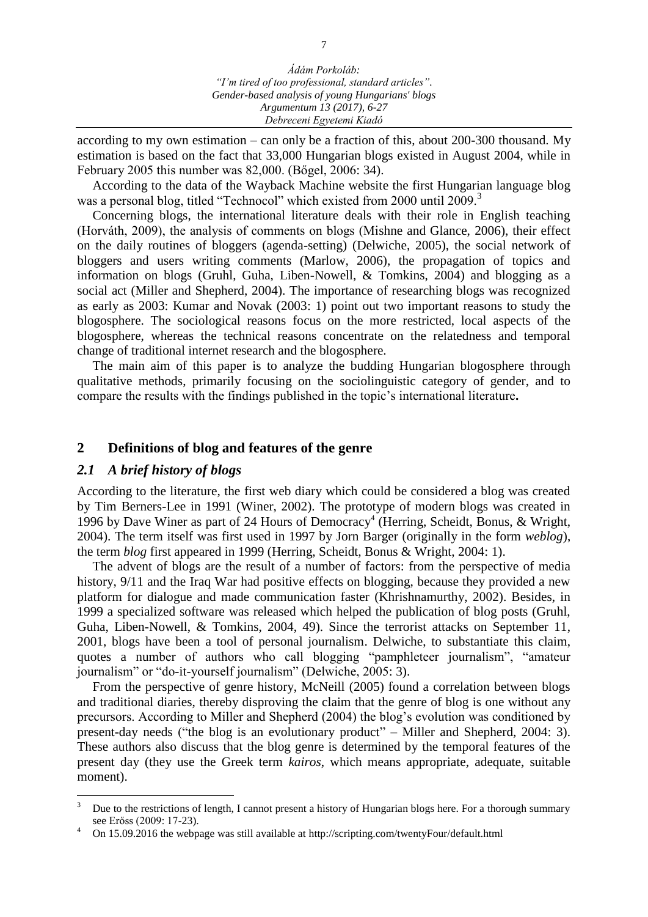according to my own estimation – can only be a fraction of this, about 200-300 thousand. My estimation is based on the fact that 33,000 Hungarian blogs existed in August 2004, while in February 2005 this number was 82,000. (Bőgel, 2006: 34).

According to the data of the Wayback Machine website the first Hungarian language blog was a personal blog, titled "Technocol" which existed from 2000 until 2009.<sup>3</sup>

Concerning blogs, the international literature deals with their role in English teaching (Horváth, 2009), the analysis of comments on blogs (Mishne and Glance, 2006), their effect on the daily routines of bloggers (agenda-setting) (Delwiche, 2005), the social network of bloggers and users writing comments (Marlow, 2006), the propagation of topics and information on blogs (Gruhl, Guha, Liben-Nowell, & Tomkins, 2004) and blogging as a social act (Miller and Shepherd, 2004). The importance of researching blogs was recognized as early as 2003: Kumar and Novak (2003: 1) point out two important reasons to study the blogosphere. The sociological reasons focus on the more restricted, local aspects of the blogosphere, whereas the technical reasons concentrate on the relatedness and temporal change of traditional internet research and the blogosphere.

The main aim of this paper is to analyze the budding Hungarian blogosphere through qualitative methods, primarily focusing on the sociolinguistic category of gender, and to compare the results with the findings published in the topic's international literature**.** 

## **2 Definitions of blog and features of the genre**

#### *2.1 A brief history of blogs*

According to the literature, the first web diary which could be considered a blog was created by Tim Berners-Lee in 1991 (Winer, 2002). The prototype of modern blogs was created in 1996 by Dave Winer as part of 24 Hours of Democracy<sup>4</sup> (Herring, Scheidt, Bonus, & Wright, 2004). The term itself was first used in 1997 by Jorn Barger (originally in the form *weblog*), the term *blog* first appeared in 1999 (Herring, Scheidt, Bonus & Wright, 2004: 1).

The advent of blogs are the result of a number of factors: from the perspective of media history, 9/11 and the Iraq War had positive effects on blogging, because they provided a new platform for dialogue and made communication faster (Khrishnamurthy, 2002). Besides, in 1999 a specialized software was released which helped the publication of blog posts (Gruhl, Guha, Liben-Nowell, & Tomkins, 2004, 49). Since the terrorist attacks on September 11, 2001, blogs have been a tool of personal journalism. Delwiche, to substantiate this claim, quotes a number of authors who call blogging "pamphleteer journalism", "amateur journalism" or "do-it-yourself journalism" (Delwiche, 2005: 3).

From the perspective of genre history, McNeill (2005) found a correlation between blogs and traditional diaries, thereby disproving the claim that the genre of blog is one without any precursors. According to Miller and Shepherd (2004) the blog's evolution was conditioned by present-day needs ("the blog is an evolutionary product" – Miller and Shepherd, 2004: 3). These authors also discuss that the blog genre is determined by the temporal features of the present day (they use the Greek term *kairos*, which means appropriate, adequate, suitable moment).

 $\overline{3}$ <sup>3</sup> Due to the restrictions of length, I cannot present a history of Hungarian blogs here. For a thorough summary see Erőss (2009: 17-23).

<sup>4</sup> On 15.09.2016 the webpage was still available at http://scripting.com/twentyFour/default.html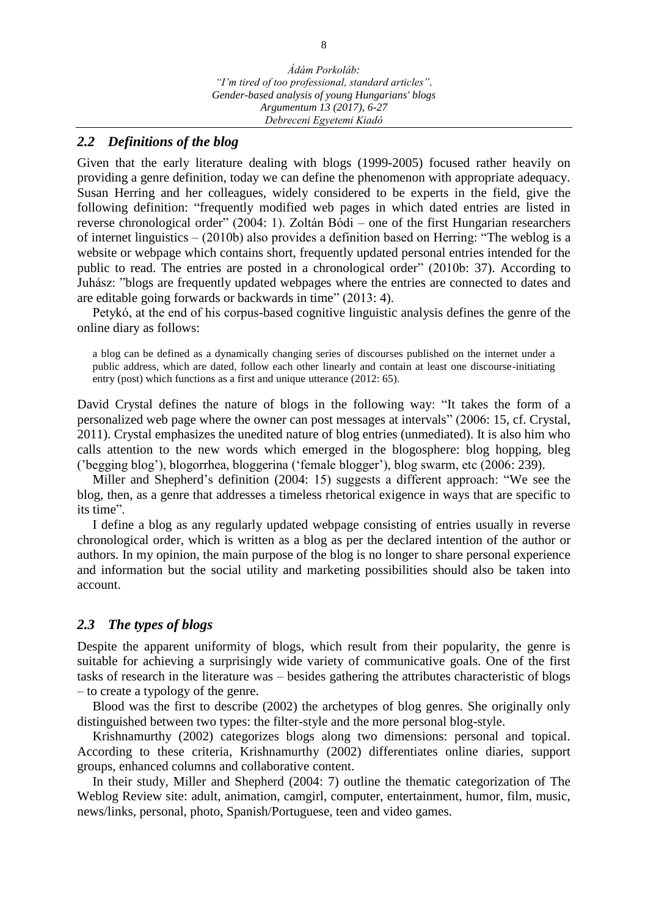## *2.2 Definitions of the blog*

Given that the early literature dealing with blogs (1999-2005) focused rather heavily on providing a genre definition, today we can define the phenomenon with appropriate adequacy. Susan Herring and her colleagues, widely considered to be experts in the field, give the following definition: "frequently modified web pages in which dated entries are listed in reverse chronological order" (2004: 1). Zoltán Bódi – one of the first Hungarian researchers of internet linguistics – (2010b) also provides a definition based on Herring: "The weblog is a website or webpage which contains short, frequently updated personal entries intended for the public to read. The entries are posted in a chronological order" (2010b: 37). According to Juhász: "blogs are frequently updated webpages where the entries are connected to dates and are editable going forwards or backwards in time" (2013: 4).

Petykó, at the end of his corpus-based cognitive linguistic analysis defines the genre of the online diary as follows:

a blog can be defined as a dynamically changing series of discourses published on the internet under a public address, which are dated, follow each other linearly and contain at least one discourse-initiating entry (post) which functions as a first and unique utterance (2012: 65).

David Crystal defines the nature of blogs in the following way: "It takes the form of a personalized web page where the owner can post messages at intervals" (2006: 15, cf. Crystal, 2011). Crystal emphasizes the unedited nature of blog entries (unmediated). It is also him who calls attention to the new words which emerged in the blogosphere: blog hopping, bleg ('begging blog'), blogorrhea, bloggerina ('female blogger'), blog swarm, etc (2006: 239).

Miller and Shepherd's definition (2004: 15) suggests a different approach: "We see the blog, then, as a genre that addresses a timeless rhetorical exigence in ways that are specific to its time".

I define a blog as any regularly updated webpage consisting of entries usually in reverse chronological order, which is written as a blog as per the declared intention of the author or authors. In my opinion, the main purpose of the blog is no longer to share personal experience and information but the social utility and marketing possibilities should also be taken into account.

## *2.3 The types of blogs*

Despite the apparent uniformity of blogs, which result from their popularity, the genre is suitable for achieving a surprisingly wide variety of communicative goals. One of the first tasks of research in the literature was – besides gathering the attributes characteristic of blogs – to create a typology of the genre.

Blood was the first to describe (2002) the archetypes of blog genres. She originally only distinguished between two types: the filter-style and the more personal blog-style.

Krishnamurthy (2002) categorizes blogs along two dimensions: personal and topical. According to these criteria, Krishnamurthy (2002) differentiates online diaries, support groups, enhanced columns and collaborative content.

In their study, Miller and Shepherd (2004: 7) outline the thematic categorization of The Weblog Review site: adult, animation, camgirl, computer, entertainment, humor, film, music, news/links, personal, photo, Spanish/Portuguese, teen and video games.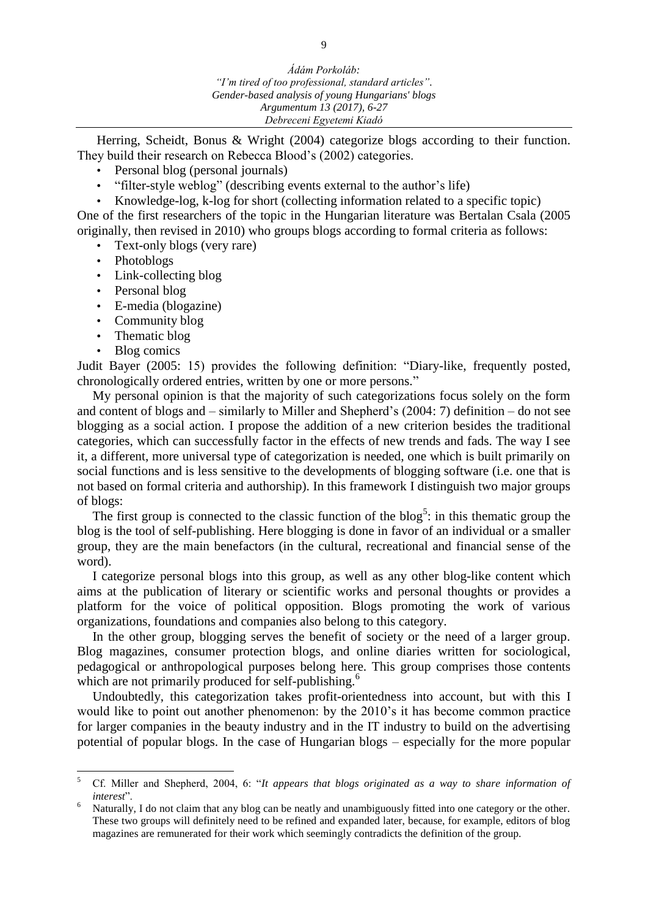Herring, Scheidt, Bonus & Wright (2004) categorize blogs according to their function. They build their research on Rebecca Blood's (2002) categories.

- Personal blog (personal journals)
- "filter-style weblog" (describing events external to the author's life)
- Knowledge-log, k-log for short (collecting information related to a specific topic)

One of the first researchers of the topic in the Hungarian literature was Bertalan Csala (2005 originally, then revised in 2010) who groups blogs according to formal criteria as follows:

- Text-only blogs (very rare)
- Photoblogs
- Link-collecting blog
- Personal blog
- E-media (blogazine)
- Community blog
- Thematic blog
- Blog comics

Judit Bayer (2005: 15) provides the following definition: "Diary-like, frequently posted, chronologically ordered entries, written by one or more persons."

My personal opinion is that the majority of such categorizations focus solely on the form and content of blogs and – similarly to Miller and Shepherd's (2004: 7) definition – do not see blogging as a social action. I propose the addition of a new criterion besides the traditional categories, which can successfully factor in the effects of new trends and fads. The way I see it, a different, more universal type of categorization is needed, one which is built primarily on social functions and is less sensitive to the developments of blogging software (i.e. one that is not based on formal criteria and authorship). In this framework I distinguish two major groups of blogs:

The first group is connected to the classic function of the  $b\log^5$ : in this thematic group the blog is the tool of self-publishing. Here blogging is done in favor of an individual or a smaller group, they are the main benefactors (in the cultural, recreational and financial sense of the word).

I categorize personal blogs into this group, as well as any other blog-like content which aims at the publication of literary or scientific works and personal thoughts or provides a platform for the voice of political opposition. Blogs promoting the work of various organizations, foundations and companies also belong to this category.

In the other group, blogging serves the benefit of society or the need of a larger group. Blog magazines, consumer protection blogs, and online diaries written for sociological, pedagogical or anthropological purposes belong here. This group comprises those contents which are not primarily produced for self-publishing.<sup>6</sup>

Undoubtedly, this categorization takes profit-orientedness into account, but with this I would like to point out another phenomenon: by the 2010's it has become common practice for larger companies in the beauty industry and in the IT industry to build on the advertising potential of popular blogs. In the case of Hungarian blogs – especially for the more popular

 $\overline{5}$ <sup>5</sup> Cf. Miller and Shepherd, 2004, 6: "*It appears that blogs originated as a way to share information of interest*".

Naturally, I do not claim that any blog can be neatly and unambiguously fitted into one category or the other. These two groups will definitely need to be refined and expanded later, because, for example, editors of blog magazines are remunerated for their work which seemingly contradicts the definition of the group.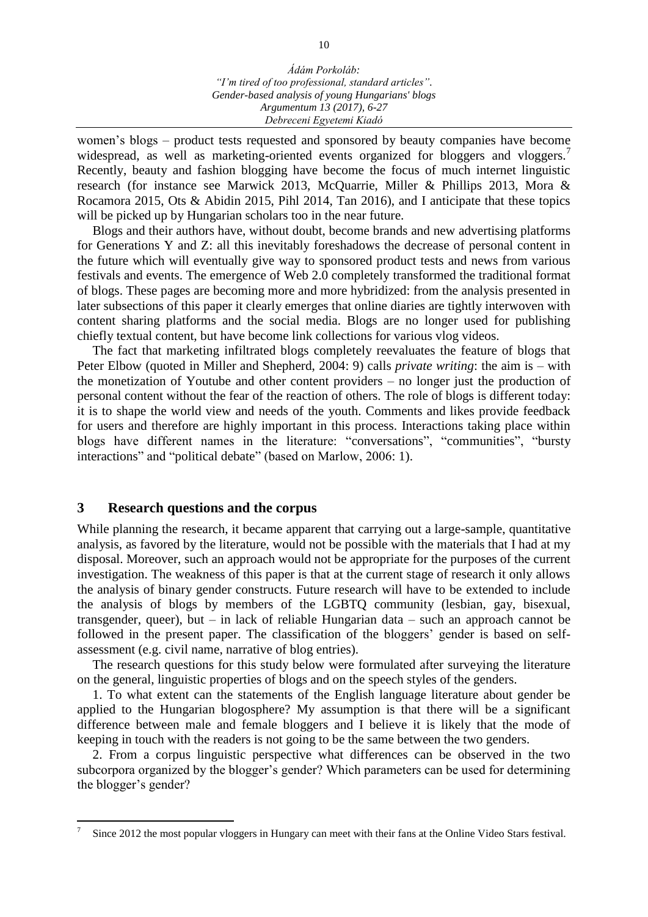women's blogs – product tests requested and sponsored by beauty companies have become widespread, as well as marketing-oriented events organized for bloggers and vloggers. Recently, beauty and fashion blogging have become the focus of much internet linguistic research (for instance see Marwick 2013, McQuarrie, Miller & Phillips 2013, Mora & Rocamora 2015, Ots & Abidin 2015, Pihl 2014, Tan 2016), and I anticipate that these topics will be picked up by Hungarian scholars too in the near future.

Blogs and their authors have, without doubt, become brands and new advertising platforms for Generations Y and Z: all this inevitably foreshadows the decrease of personal content in the future which will eventually give way to sponsored product tests and news from various festivals and events. The emergence of Web 2.0 completely transformed the traditional format of blogs. These pages are becoming more and more hybridized: from the analysis presented in later subsections of this paper it clearly emerges that online diaries are tightly interwoven with content sharing platforms and the social media. Blogs are no longer used for publishing chiefly textual content, but have become link collections for various vlog videos.

The fact that marketing infiltrated blogs completely reevaluates the feature of blogs that Peter Elbow (quoted in Miller and Shepherd, 2004: 9) calls *private writing*: the aim is – with the monetization of Youtube and other content providers – no longer just the production of personal content without the fear of the reaction of others. The role of blogs is different today: it is to shape the world view and needs of the youth. Comments and likes provide feedback for users and therefore are highly important in this process. Interactions taking place within blogs have different names in the literature: "conversations", "communities", "bursty interactions" and "political debate" (based on Marlow, 2006: 1).

#### **3 Research questions and the corpus**

 $\overline{a}$ 

While planning the research, it became apparent that carrying out a large-sample, quantitative analysis, as favored by the literature, would not be possible with the materials that I had at my disposal. Moreover, such an approach would not be appropriate for the purposes of the current investigation. The weakness of this paper is that at the current stage of research it only allows the analysis of binary gender constructs. Future research will have to be extended to include the analysis of blogs by members of the LGBTQ community (lesbian, gay, bisexual, transgender, queer), but – in lack of reliable Hungarian data – such an approach cannot be followed in the present paper. The classification of the bloggers' gender is based on selfassessment (e.g. civil name, narrative of blog entries).

The research questions for this study below were formulated after surveying the literature on the general, linguistic properties of blogs and on the speech styles of the genders.

1. To what extent can the statements of the English language literature about gender be applied to the Hungarian blogosphere? My assumption is that there will be a significant difference between male and female bloggers and I believe it is likely that the mode of keeping in touch with the readers is not going to be the same between the two genders.

2. From a corpus linguistic perspective what differences can be observed in the two subcorpora organized by the blogger's gender? Which parameters can be used for determining the blogger's gender?

<sup>7</sup> Since 2012 the most popular vloggers in Hungary can meet with their fans at the Online Video Stars festival.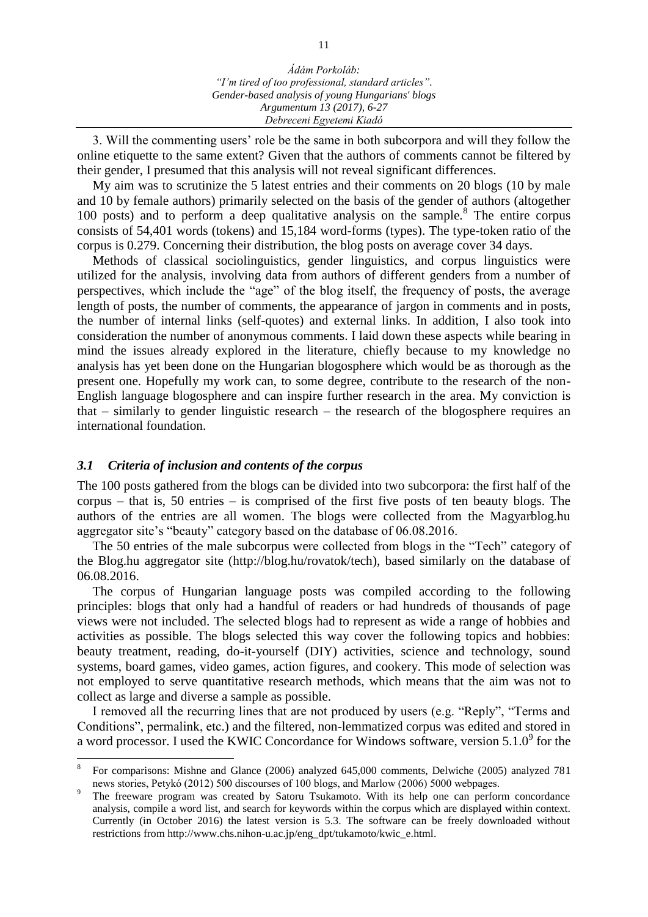3. Will the commenting users' role be the same in both subcorpora and will they follow the online etiquette to the same extent? Given that the authors of comments cannot be filtered by their gender, I presumed that this analysis will not reveal significant differences.

My aim was to scrutinize the 5 latest entries and their comments on 20 blogs (10 by male and 10 by female authors) primarily selected on the basis of the gender of authors (altogether  $100$  posts) and to perform a deep qualitative analysis on the sample.<sup>8</sup> The entire corpus consists of 54,401 words (tokens) and 15,184 word-forms (types). The type-token ratio of the corpus is 0.279. Concerning their distribution, the blog posts on average cover 34 days.

Methods of classical sociolinguistics, gender linguistics, and corpus linguistics were utilized for the analysis, involving data from authors of different genders from a number of perspectives, which include the "age" of the blog itself, the frequency of posts, the average length of posts, the number of comments, the appearance of jargon in comments and in posts, the number of internal links (self-quotes) and external links. In addition, I also took into consideration the number of anonymous comments. I laid down these aspects while bearing in mind the issues already explored in the literature, chiefly because to my knowledge no analysis has yet been done on the Hungarian blogosphere which would be as thorough as the present one. Hopefully my work can, to some degree, contribute to the research of the non-English language blogosphere and can inspire further research in the area. My conviction is that – similarly to gender linguistic research – the research of the blogosphere requires an international foundation.

#### *3.1 Criteria of inclusion and contents of the corpus*

 $\overline{a}$ 

The 100 posts gathered from the blogs can be divided into two subcorpora: the first half of the corpus – that is, 50 entries – is comprised of the first five posts of ten beauty blogs. The authors of the entries are all women. The blogs were collected from the Magyarblog.hu aggregator site's "beauty" category based on the database of 06.08.2016.

The 50 entries of the male subcorpus were collected from blogs in the "Tech" category of the Blog.hu aggregator site (http://blog.hu/rovatok/tech), based similarly on the database of 06.08.2016.

The corpus of Hungarian language posts was compiled according to the following principles: blogs that only had a handful of readers or had hundreds of thousands of page views were not included. The selected blogs had to represent as wide a range of hobbies and activities as possible. The blogs selected this way cover the following topics and hobbies: beauty treatment, reading, do-it-yourself (DIY) activities, science and technology, sound systems, board games, video games, action figures, and cookery. This mode of selection was not employed to serve quantitative research methods, which means that the aim was not to collect as large and diverse a sample as possible.

I removed all the recurring lines that are not produced by users (e.g. "Reply", "Terms and Conditions", permalink, etc.) and the filtered, non-lemmatized corpus was edited and stored in a word processor. I used the KWIC Concordance for Windows software, version  $5.1.0^9$  for the

<sup>8</sup> For comparisons: Mishne and Glance (2006) analyzed 645,000 comments, Delwiche (2005) analyzed 781 news stories, Petykó (2012) 500 discourses of 100 blogs, and Marlow (2006) 5000 webpages.

<sup>9</sup> The freeware program was created by Satoru Tsukamoto. With its help one can perform concordance analysis, compile a word list, and search for keywords within the corpus which are displayed within context. Currently (in October 2016) the latest version is 5.3. The software can be freely downloaded without restrictions from [http://www.chs.nihon-u.ac.jp/eng\\_dpt/tukamoto/kwic\\_e.html.](http://www.chs.nihon-u.ac.jp/eng_dpt/tukamoto/kwic_e.html)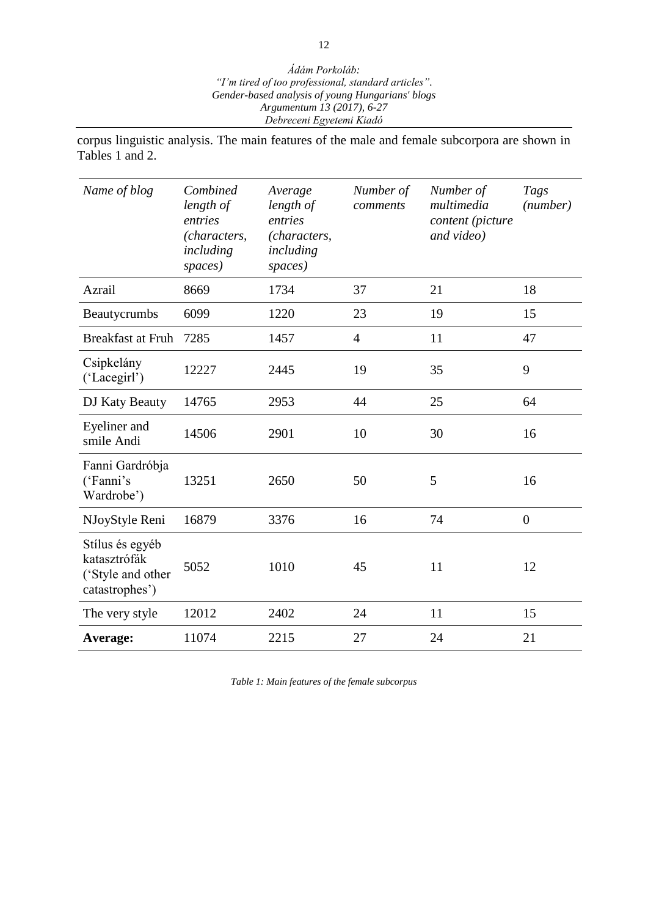corpus linguistic analysis. The main features of the male and female subcorpora are shown in Tables 1 and 2.

| Name of blog                                                           | Combined<br>length of<br>entries<br>(characters,<br>including<br>spaces) | Average<br>length of<br>entries<br>(characters,<br>including<br>spaces) | Number of<br>comments | Number of<br>multimedia<br>content (picture<br>and video) | Tags<br>(number) |
|------------------------------------------------------------------------|--------------------------------------------------------------------------|-------------------------------------------------------------------------|-----------------------|-----------------------------------------------------------|------------------|
| Azrail                                                                 | 8669                                                                     | 1734                                                                    | 37                    | 21                                                        | 18               |
| Beautycrumbs                                                           | 6099                                                                     | 1220                                                                    | 23                    | 19                                                        | 15               |
| <b>Breakfast at Fruh</b>                                               | 7285                                                                     | 1457                                                                    | $\overline{4}$        | 11                                                        | 47               |
| Csipkelány<br>('Lacegirl')                                             | 12227                                                                    | 2445                                                                    | 19                    | 35                                                        | 9                |
| DJ Katy Beauty                                                         | 14765                                                                    | 2953                                                                    | 44                    | 25                                                        | 64               |
| Eyeliner and<br>smile Andi                                             | 14506                                                                    | 2901                                                                    | 10                    | 30                                                        | 16               |
| Fanni Gardróbja<br>('Fanni's<br>Wardrobe')                             | 13251                                                                    | 2650                                                                    | 50                    | 5                                                         | 16               |
| NJoyStyle Reni                                                         | 16879                                                                    | 3376                                                                    | 16                    | 74                                                        | $\boldsymbol{0}$ |
| Stílus és egyéb<br>katasztrófák<br>('Style and other<br>catastrophes') | 5052                                                                     | 1010                                                                    | 45                    | 11                                                        | 12               |
| The very style                                                         | 12012                                                                    | 2402                                                                    | 24                    | 11                                                        | 15               |
| Average:                                                               | 11074                                                                    | 2215                                                                    | 27                    | 24                                                        | 21               |

*Table 1: Main features of the female subcorpus*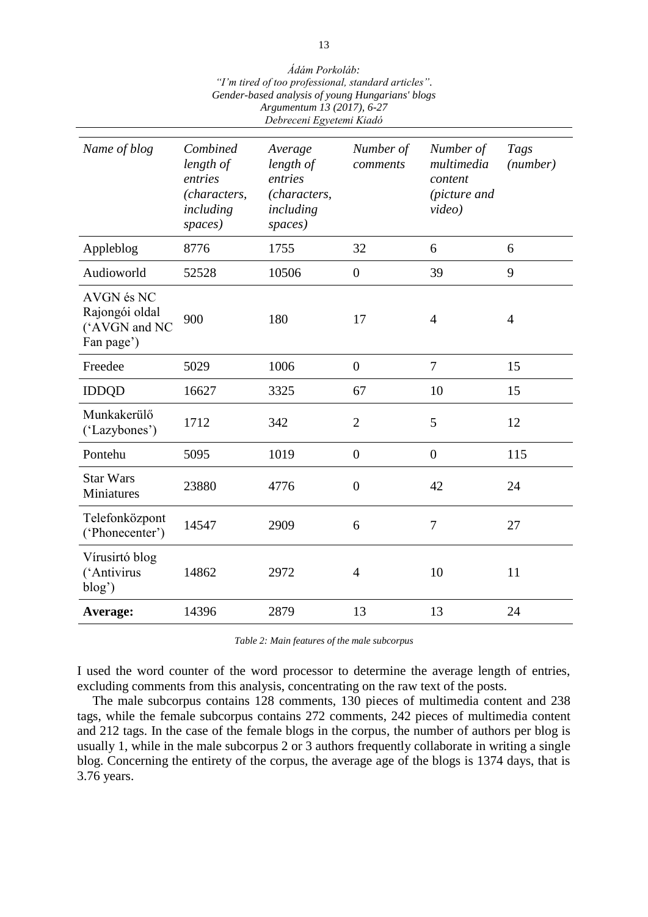| Ádám Porkoláb:                                      |
|-----------------------------------------------------|
| "I'm tired of too professional, standard articles". |
| Gender-based analysis of young Hungarians' blogs    |
| Argumentum 13 (2017), 6-27                          |
| Debreceni Egyetemi Kiadó                            |

| Name of blog                                                | Combined<br>length of<br>entries<br>(characters,<br>including<br>spaces) | Average<br>length of<br>entries<br>(characters,<br>including<br>spaces) | Number of<br>comments | Number of<br>multimedia<br>content<br>(picture and<br>video) | Tags<br>(number) |
|-------------------------------------------------------------|--------------------------------------------------------------------------|-------------------------------------------------------------------------|-----------------------|--------------------------------------------------------------|------------------|
| Appleblog                                                   | 8776                                                                     | 1755                                                                    | 32                    | 6                                                            | 6                |
| Audioworld                                                  | 52528                                                                    | 10506                                                                   | $\boldsymbol{0}$      | 39                                                           | 9                |
| AVGN és NC<br>Rajongói oldal<br>('AVGN and NC<br>Fan page') | 900                                                                      | 180                                                                     | 17                    | $\overline{4}$                                               | $\overline{4}$   |
| Freedee                                                     | 5029                                                                     | 1006                                                                    | $\boldsymbol{0}$      | 7                                                            | 15               |
| <b>IDDQD</b>                                                | 16627                                                                    | 3325                                                                    | 67                    | 10                                                           | 15               |
| Munkakerülő<br>('Lazybones')                                | 1712                                                                     | 342                                                                     | $\overline{2}$        | 5                                                            | 12               |
| Pontehu                                                     | 5095                                                                     | 1019                                                                    | $\boldsymbol{0}$      | $\overline{0}$                                               | 115              |
| <b>Star Wars</b><br>Miniatures                              | 23880                                                                    | 4776                                                                    | $\boldsymbol{0}$      | 42                                                           | 24               |
| Telefonközpont<br>('Phonecenter')                           | 14547                                                                    | 2909                                                                    | 6                     | $\tau$                                                       | 27               |
| Vírusirtó blog<br>('Antivirus<br>blog'                      | 14862                                                                    | 2972                                                                    | $\overline{4}$        | 10                                                           | 11               |
| Average:                                                    | 14396                                                                    | 2879                                                                    | 13                    | 13                                                           | 24               |

*Table 2: Main features of the male subcorpus*

I used the word counter of the word processor to determine the average length of entries, excluding comments from this analysis, concentrating on the raw text of the posts.

The male subcorpus contains 128 comments, 130 pieces of multimedia content and 238 tags, while the female subcorpus contains 272 comments, 242 pieces of multimedia content and 212 tags. In the case of the female blogs in the corpus, the number of authors per blog is usually 1, while in the male subcorpus 2 or 3 authors frequently collaborate in writing a single blog. Concerning the entirety of the corpus, the average age of the blogs is 1374 days, that is 3.76 years.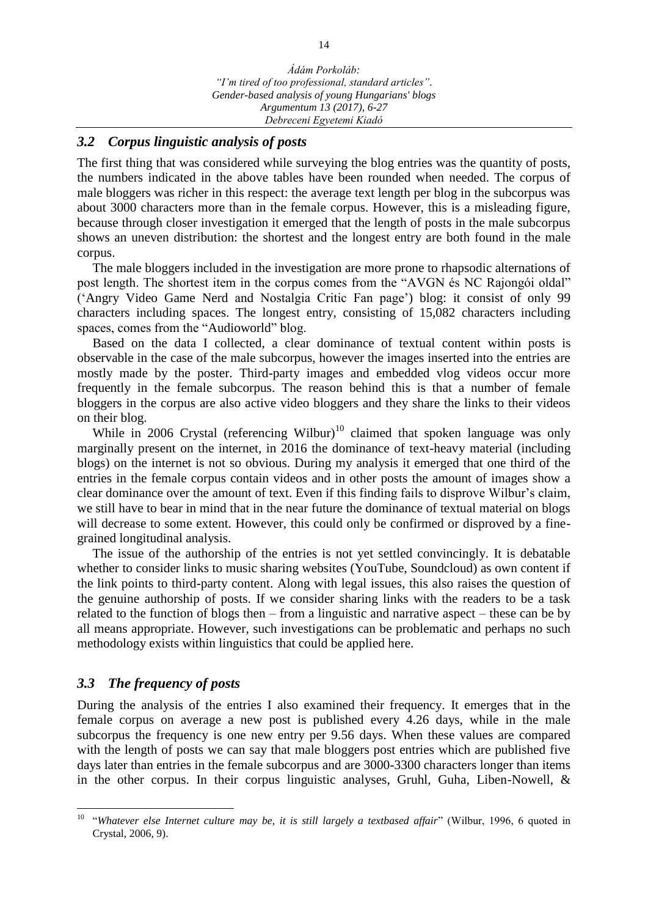## *3.2 Corpus linguistic analysis of posts*

The first thing that was considered while surveying the blog entries was the quantity of posts, the numbers indicated in the above tables have been rounded when needed. The corpus of male bloggers was richer in this respect: the average text length per blog in the subcorpus was about 3000 characters more than in the female corpus. However, this is a misleading figure, because through closer investigation it emerged that the length of posts in the male subcorpus shows an uneven distribution: the shortest and the longest entry are both found in the male corpus.

The male bloggers included in the investigation are more prone to rhapsodic alternations of post length. The shortest item in the corpus comes from the "AVGN és NC Rajongói oldal" ('Angry Video Game Nerd and Nostalgia Critic Fan page') blog: it consist of only 99 characters including spaces. The longest entry, consisting of 15,082 characters including spaces, comes from the "Audioworld" blog.

Based on the data I collected, a clear dominance of textual content within posts is observable in the case of the male subcorpus, however the images inserted into the entries are mostly made by the poster. Third-party images and embedded vlog videos occur more frequently in the female subcorpus. The reason behind this is that a number of female bloggers in the corpus are also active video bloggers and they share the links to their videos on their blog.

While in 2006 Crystal (referencing Wilbur)<sup>10</sup> claimed that spoken language was only marginally present on the internet, in 2016 the dominance of text-heavy material (including blogs) on the internet is not so obvious. During my analysis it emerged that one third of the entries in the female corpus contain videos and in other posts the amount of images show a clear dominance over the amount of text. Even if this finding fails to disprove Wilbur's claim, we still have to bear in mind that in the near future the dominance of textual material on blogs will decrease to some extent. However, this could only be confirmed or disproved by a finegrained longitudinal analysis.

The issue of the authorship of the entries is not yet settled convincingly. It is debatable whether to consider links to music sharing websites (YouTube, Soundcloud) as own content if the link points to third-party content. Along with legal issues, this also raises the question of the genuine authorship of posts. If we consider sharing links with the readers to be a task related to the function of blogs then – from a linguistic and narrative aspect – these can be by all means appropriate. However, such investigations can be problematic and perhaps no such methodology exists within linguistics that could be applied here.

## *3.3 The frequency of posts*

 $\overline{a}$ 

During the analysis of the entries I also examined their frequency. It emerges that in the female corpus on average a new post is published every 4.26 days, while in the male subcorpus the frequency is one new entry per 9.56 days. When these values are compared with the length of posts we can say that male bloggers post entries which are published five days later than entries in the female subcorpus and are 3000-3300 characters longer than items in the other corpus. In their corpus linguistic analyses, Gruhl, Guha, Liben-Nowell, &

<sup>10</sup> "*Whatever else Internet culture may be, it is still largely a textbased affair*" (Wilbur, 1996, 6 quoted in Crystal, 2006, 9).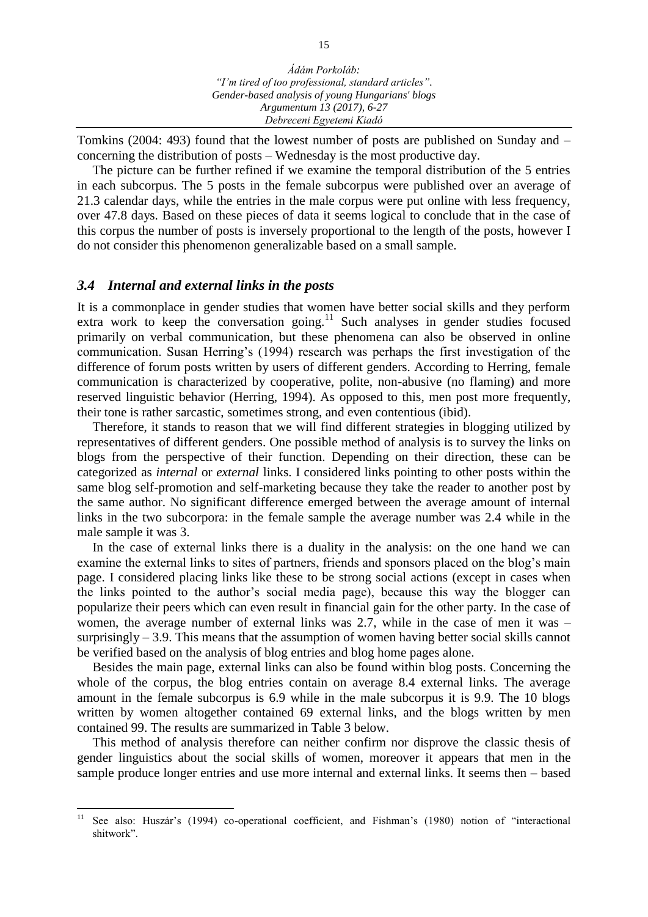Tomkins (2004: 493) found that the lowest number of posts are published on Sunday and – concerning the distribution of posts – Wednesday is the most productive day.

The picture can be further refined if we examine the temporal distribution of the 5 entries in each subcorpus. The 5 posts in the female subcorpus were published over an average of 21.3 calendar days, while the entries in the male corpus were put online with less frequency, over 47.8 days. Based on these pieces of data it seems logical to conclude that in the case of this corpus the number of posts is inversely proportional to the length of the posts, however I do not consider this phenomenon generalizable based on a small sample.

#### *3.4 Internal and external links in the posts*

It is a commonplace in gender studies that women have better social skills and they perform extra work to keep the conversation going.<sup>11</sup> Such analyses in gender studies focused primarily on verbal communication, but these phenomena can also be observed in online communication. Susan Herring's (1994) research was perhaps the first investigation of the difference of forum posts written by users of different genders. According to Herring, female communication is characterized by cooperative, polite, non-abusive (no flaming) and more reserved linguistic behavior (Herring, 1994). As opposed to this, men post more frequently, their tone is rather sarcastic, sometimes strong, and even contentious (ibid).

Therefore, it stands to reason that we will find different strategies in blogging utilized by representatives of different genders. One possible method of analysis is to survey the links on blogs from the perspective of their function. Depending on their direction, these can be categorized as *internal* or *external* links. I considered links pointing to other posts within the same blog self-promotion and self-marketing because they take the reader to another post by the same author. No significant difference emerged between the average amount of internal links in the two subcorpora: in the female sample the average number was 2.4 while in the male sample it was 3.

In the case of external links there is a duality in the analysis: on the one hand we can examine the external links to sites of partners, friends and sponsors placed on the blog's main page. I considered placing links like these to be strong social actions (except in cases when the links pointed to the author's social media page), because this way the blogger can popularize their peers which can even result in financial gain for the other party. In the case of women, the average number of external links was 2.7, while in the case of men it was – surprisingly  $-3.9$ . This means that the assumption of women having better social skills cannot be verified based on the analysis of blog entries and blog home pages alone.

Besides the main page, external links can also be found within blog posts. Concerning the whole of the corpus, the blog entries contain on average 8.4 external links. The average amount in the female subcorpus is 6.9 while in the male subcorpus it is 9.9. The 10 blogs written by women altogether contained 69 external links, and the blogs written by men contained 99. The results are summarized in Table 3 below.

This method of analysis therefore can neither confirm nor disprove the classic thesis of gender linguistics about the social skills of women, moreover it appears that men in the sample produce longer entries and use more internal and external links. It seems then – based

 $11$ See also: Huszár's (1994) co-operational coefficient, and Fishman's (1980) notion of "interactional shitwork".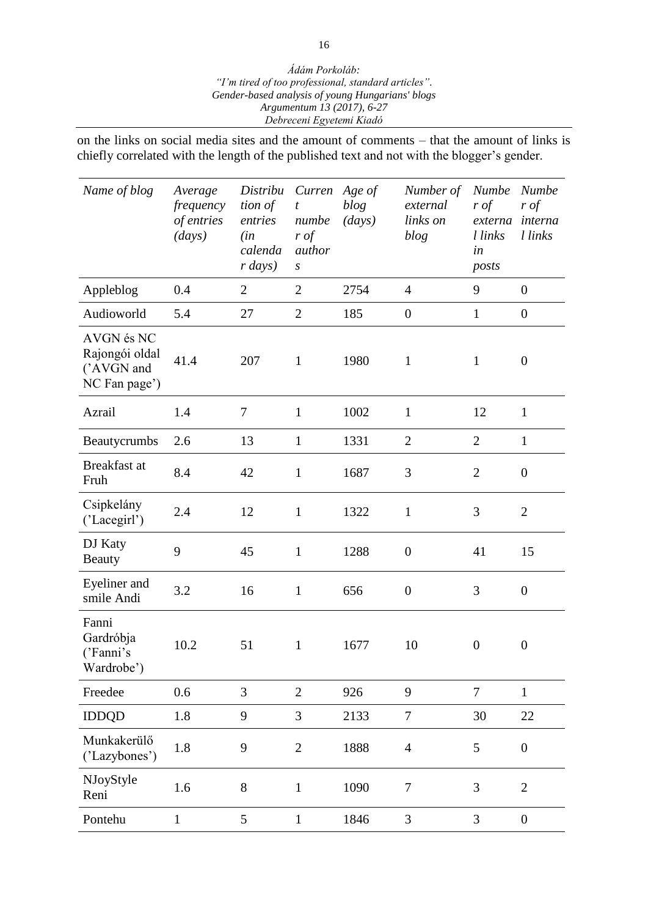on the links on social media sites and the amount of comments – that the amount of links is chiefly correlated with the length of the published text and not with the blogger's gender.

| Name of blog                                                | Average<br>frequency<br>of entries<br>(days) | Distribu<br>tion of<br>entries<br>(in<br>calenda<br>$r \, days)$ | Curren<br>t<br>numbe<br>$r \text{ of }$<br>author<br>$\boldsymbol{S}$ | Age of<br>blog<br>(days) | Number of<br>external<br>links on<br>blog | <b>Numbe</b><br>$r \text{ of }$<br>externa<br>l links<br>in<br>posts | <b>Numbe</b><br>$r \text{ of }$<br>interna<br>l links |
|-------------------------------------------------------------|----------------------------------------------|------------------------------------------------------------------|-----------------------------------------------------------------------|--------------------------|-------------------------------------------|----------------------------------------------------------------------|-------------------------------------------------------|
| Appleblog                                                   | 0.4                                          | $\overline{2}$                                                   | $\overline{2}$                                                        | 2754                     | $\overline{4}$                            | 9                                                                    | $\overline{0}$                                        |
| Audioworld                                                  | 5.4                                          | 27                                                               | $\overline{2}$                                                        | 185                      | $\boldsymbol{0}$                          | $\mathbf{1}$                                                         | $\boldsymbol{0}$                                      |
| AVGN és NC<br>Rajongói oldal<br>('AVGN and<br>NC Fan page') | 41.4                                         | 207                                                              | $\mathbf{1}$                                                          | 1980                     | $\mathbf{1}$                              | $\mathbf{1}$                                                         | $\boldsymbol{0}$                                      |
| Azrail                                                      | 1.4                                          | $\tau$                                                           | $\mathbf{1}$                                                          | 1002                     | $\mathbf{1}$                              | 12                                                                   | $\mathbf{1}$                                          |
| Beautycrumbs                                                | 2.6                                          | 13                                                               | $\mathbf{1}$                                                          | 1331                     | $\overline{2}$                            | $\overline{2}$                                                       | $\mathbf{1}$                                          |
| Breakfast at<br>Fruh                                        | 8.4                                          | 42                                                               | $\mathbf{1}$                                                          | 1687                     | 3                                         | $\overline{2}$                                                       | $\overline{0}$                                        |
| Csipkelány<br>('Lacegirl')                                  | 2.4                                          | 12                                                               | $\mathbf{1}$                                                          | 1322                     | $\mathbf{1}$                              | 3                                                                    | $\overline{2}$                                        |
| DJ Katy<br><b>Beauty</b>                                    | 9                                            | 45                                                               | $\mathbf{1}$                                                          | 1288                     | $\boldsymbol{0}$                          | 41                                                                   | 15                                                    |
| Eyeliner and<br>smile Andi                                  | 3.2                                          | 16                                                               | $\mathbf{1}$                                                          | 656                      | $\boldsymbol{0}$                          | 3                                                                    | $\boldsymbol{0}$                                      |
| Fanni<br>Gardróbja<br>('Fanni's<br>Wardrobe')               | 10.2                                         | 51                                                               | $\mathbf{1}$                                                          | 1677                     | 10                                        | $\boldsymbol{0}$                                                     | $\boldsymbol{0}$                                      |
| Freedee                                                     | 0.6                                          | $\overline{3}$                                                   | $\overline{2}$                                                        | 926                      | 9                                         | $\overline{7}$                                                       | $\mathbf{1}$                                          |
| <b>IDDQD</b>                                                | 1.8                                          | 9                                                                | 3                                                                     | 2133                     | $\tau$                                    | 30                                                                   | 22                                                    |
| Munkakerülő<br>('Lazybones')                                | 1.8                                          | 9                                                                | $\mathbf{2}$                                                          | 1888                     | $\overline{4}$                            | 5                                                                    | $\boldsymbol{0}$                                      |
| NJoyStyle<br>Reni                                           | 1.6                                          | 8                                                                | $\mathbf{1}$                                                          | 1090                     | $\overline{7}$                            | 3                                                                    | $\overline{2}$                                        |
| Pontehu                                                     | $\mathbf 1$                                  | 5                                                                | $\mathbf{1}$                                                          | 1846                     | 3                                         | $\overline{3}$                                                       | $\boldsymbol{0}$                                      |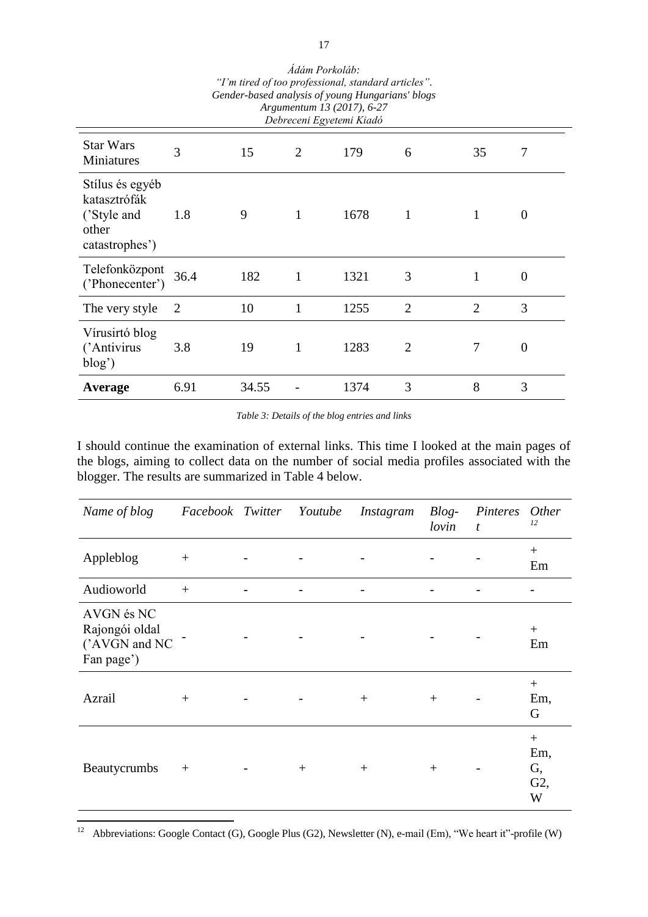| <i>1 m urea of too professional, standard articles.</i><br>Gender-based analysis of young Hungarians' blogs<br>Argumentum 13 (2017), 6-27<br>Debreceni Egyetemi Kiadó |                |       |                |      |                |                |                |  |
|-----------------------------------------------------------------------------------------------------------------------------------------------------------------------|----------------|-------|----------------|------|----------------|----------------|----------------|--|
| <b>Star Wars</b><br>Miniatures                                                                                                                                        | 3              | 15    | $\overline{2}$ | 179  | 6              | 35             | 7              |  |
| Stílus és egyéb<br>katasztrófák<br>('Style and<br>other<br>catastrophes')                                                                                             | 1.8            | 9     | 1              | 1678 | 1              |                | $\Omega$       |  |
| Telefonközpont<br>('Phonecenter')                                                                                                                                     | 36.4           | 182   | 1              | 1321 | 3              | 1              | $\overline{0}$ |  |
| The very style                                                                                                                                                        | $\overline{2}$ | 10    | $\mathbf{1}$   | 1255 | $\overline{2}$ | $\overline{2}$ | 3              |  |
| Vírusirtó blog<br>('Antivirus<br>$blog'$ )                                                                                                                            | 3.8            | 19    | 1              | 1283 | $\overline{2}$ | 7              | $\overline{0}$ |  |
| Average                                                                                                                                                               | 6.91           | 34.55 |                | 1374 | 3              | 8              | 3              |  |

*Ádám Porkoláb: "I'm tired of too professional, standard articles".*

*Table 3: Details of the blog entries and links* 

I should continue the examination of external links. This time I looked at the main pages of the blogs, aiming to collect data on the number of social media profiles associated with the blogger. The results are summarized in Table 4 below.

| Name of blog                                                | Facebook Twitter Youtube |        | Instagram | $Blog-$<br>lovin | Pinteres Other<br>$\boldsymbol{t}$ | 12                           |
|-------------------------------------------------------------|--------------------------|--------|-----------|------------------|------------------------------------|------------------------------|
| Appleblog                                                   | $\! + \!\!\!\!$          |        |           |                  |                                    | $+$<br>Em                    |
| Audioworld                                                  | $+$                      |        |           |                  |                                    |                              |
| AVGN és NC<br>Rajongói oldal<br>('AVGN and NC<br>Fan page') |                          |        |           |                  |                                    | $^{+}$<br>Em                 |
| Azrail                                                      | $^{+}$                   |        | $^{+}$    | $+$              |                                    | $+$<br>Em,<br>G              |
| Beautycrumbs                                                | $^{+}$                   | $^{+}$ | $^{+}$    | $^{+}$           |                                    | $+$<br>Em,<br>G,<br>G2,<br>W |

 $12\,$ <sup>12</sup> Abbreviations: Google Contact (G), Google Plus (G2), Newsletter (N), e-mail (Em), "We heart it"-profile (W)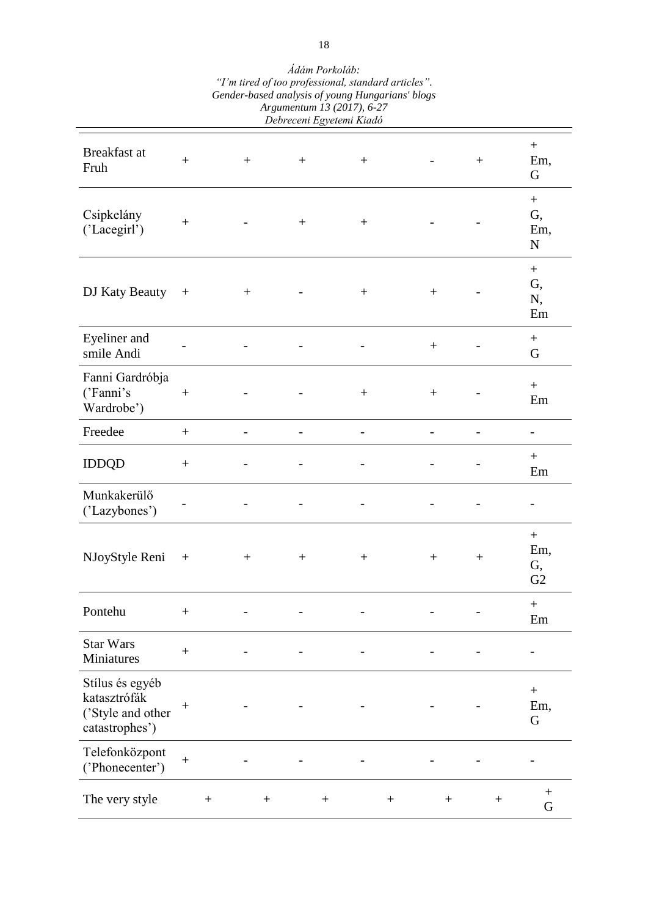| Genaer-basea anatysis of young Hungarians biogs<br>Argumentum 13 (2017), 6-27<br>Debreceni Egyetemi Kiadó |                  |                  |                  |        |                  |                  |                          |        |                  |        |                                                 |
|-----------------------------------------------------------------------------------------------------------|------------------|------------------|------------------|--------|------------------|------------------|--------------------------|--------|------------------|--------|-------------------------------------------------|
| Breakfast at<br>Fruh                                                                                      | $^{+}$           |                  | $\boldsymbol{+}$ |        | $\boldsymbol{+}$ |                  | $+$                      |        |                  |        | $\boldsymbol{+}$<br>Em,<br>G                    |
| Csipkelány<br>('Lacegirl')                                                                                | $\boldsymbol{+}$ |                  |                  |        | $\boldsymbol{+}$ |                  | $\boldsymbol{+}$         |        |                  |        | $\boldsymbol{+}$<br>G,<br>Em,<br>${\bf N}$      |
| DJ Katy Beauty                                                                                            |                  |                  | $^{+}$           |        |                  |                  | $+$                      |        | $^{+}$           |        | $\boldsymbol{+}$<br>G,<br>N,<br>Em              |
| Eyeliner and<br>smile Andi                                                                                |                  |                  |                  |        |                  |                  |                          |        | $^{+}$           |        | $\boldsymbol{+}$<br>G                           |
| Fanni Gardróbja<br>('Fanni's<br>Wardrobe')                                                                | $^{+}$           |                  |                  |        |                  |                  |                          |        | $\boldsymbol{+}$ |        | $+$<br>Em                                       |
| Freedee                                                                                                   | $+$              |                  |                  |        |                  |                  |                          |        |                  |        |                                                 |
| <b>IDDQD</b>                                                                                              | $\boldsymbol{+}$ |                  |                  |        |                  |                  |                          |        |                  |        | $^{+}$<br>Em                                    |
| Munkakerülő<br>('Lazybones')                                                                              |                  |                  |                  |        |                  |                  |                          |        |                  |        |                                                 |
| NJoyStyle Reni                                                                                            | $^{+}$           |                  | $^{+}$           |        | $^{+}$           |                  | $^{+}$                   |        | $^{+}$           | $^{+}$ | $\boldsymbol{+}$<br>Em,<br>G,<br>G <sub>2</sub> |
| Pontehu                                                                                                   |                  |                  |                  |        |                  |                  |                          |        |                  |        | $+$<br>Em                                       |
| <b>Star Wars</b><br>Miniatures                                                                            | $\boldsymbol{+}$ |                  |                  |        |                  |                  | $\overline{\phantom{0}}$ |        |                  |        | $\overline{\phantom{0}}$                        |
| Stílus és egyéb<br>katasztrófák<br>('Style and other<br>catastrophes')                                    |                  |                  |                  |        |                  |                  |                          |        |                  |        | $\boldsymbol{+}$<br>Em,<br>G                    |
| Telefonközpont<br>('Phonecenter')                                                                         | $\boldsymbol{+}$ |                  |                  |        |                  |                  |                          |        |                  |        |                                                 |
| The very style                                                                                            |                  | $\boldsymbol{+}$ |                  | $^{+}$ |                  | $\boldsymbol{+}$ |                          | $^{+}$ | $\boldsymbol{+}$ | $^{+}$ | G                                               |

*Ádám Porkoláb: "I'm tired of too professional, standard articles". Gender-based analysis of young Hungarians' blogs*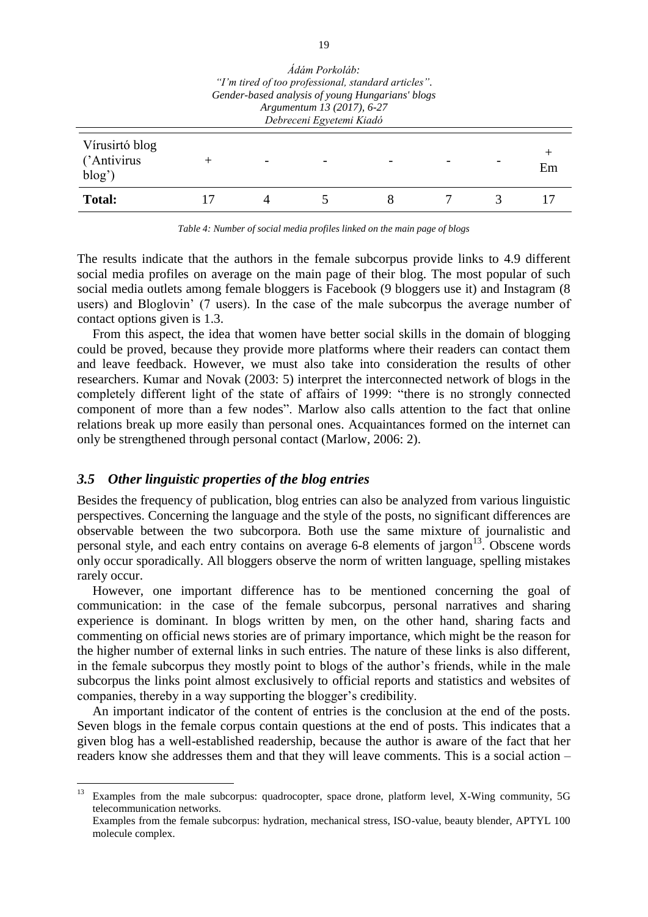| Adam Porkolah:<br>"I'm tired of too professional, standard articles".<br>Gender-based analysis of young Hungarians' blogs<br>Argumentum 13 (2017), 6-27<br>Debreceni Egyetemi Kiadó |  |  |  |  |  |  |    |
|-------------------------------------------------------------------------------------------------------------------------------------------------------------------------------------|--|--|--|--|--|--|----|
| Vírusirtó blog<br>('Antivirus<br>blog'                                                                                                                                              |  |  |  |  |  |  | Em |
| <b>Total:</b>                                                                                                                                                                       |  |  |  |  |  |  |    |

*Ádám Porkoláb:* 

*Table 4: Number of social media profiles linked on the main page of blogs*

The results indicate that the authors in the female subcorpus provide links to 4.9 different social media profiles on average on the main page of their blog. The most popular of such social media outlets among female bloggers is Facebook (9 bloggers use it) and Instagram (8 users) and Bloglovin' (7 users). In the case of the male subcorpus the average number of contact options given is 1.3.

From this aspect, the idea that women have better social skills in the domain of blogging could be proved, because they provide more platforms where their readers can contact them and leave feedback. However, we must also take into consideration the results of other researchers. Kumar and Novak (2003: 5) interpret the interconnected network of blogs in the completely different light of the state of affairs of 1999: "there is no strongly connected component of more than a few nodes". Marlow also calls attention to the fact that online relations break up more easily than personal ones. Acquaintances formed on the internet can only be strengthened through personal contact (Marlow, 2006: 2).

#### *3.5 Other linguistic properties of the blog entries*

Besides the frequency of publication, blog entries can also be analyzed from various linguistic perspectives. Concerning the language and the style of the posts, no significant differences are observable between the two subcorpora. Both use the same mixture of journalistic and personal style, and each entry contains on average  $6-8$  elements of jargon<sup>13</sup>. Obscene words only occur sporadically. All bloggers observe the norm of written language, spelling mistakes rarely occur.

However, one important difference has to be mentioned concerning the goal of communication: in the case of the female subcorpus, personal narratives and sharing experience is dominant. In blogs written by men, on the other hand, sharing facts and commenting on official news stories are of primary importance, which might be the reason for the higher number of external links in such entries. The nature of these links is also different, in the female subcorpus they mostly point to blogs of the author's friends, while in the male subcorpus the links point almost exclusively to official reports and statistics and websites of companies, thereby in a way supporting the blogger's credibility.

An important indicator of the content of entries is the conclusion at the end of the posts. Seven blogs in the female corpus contain questions at the end of posts. This indicates that a given blog has a well-established readership, because the author is aware of the fact that her readers know she addresses them and that they will leave comments. This is a social action –

<sup>13</sup> <sup>13</sup> Examples from the male subcorpus: quadrocopter, space drone, platform level, X-Wing community, 5G telecommunication networks.

Examples from the female subcorpus: hydration, mechanical stress, ISO-value, beauty blender, APTYL 100 molecule complex.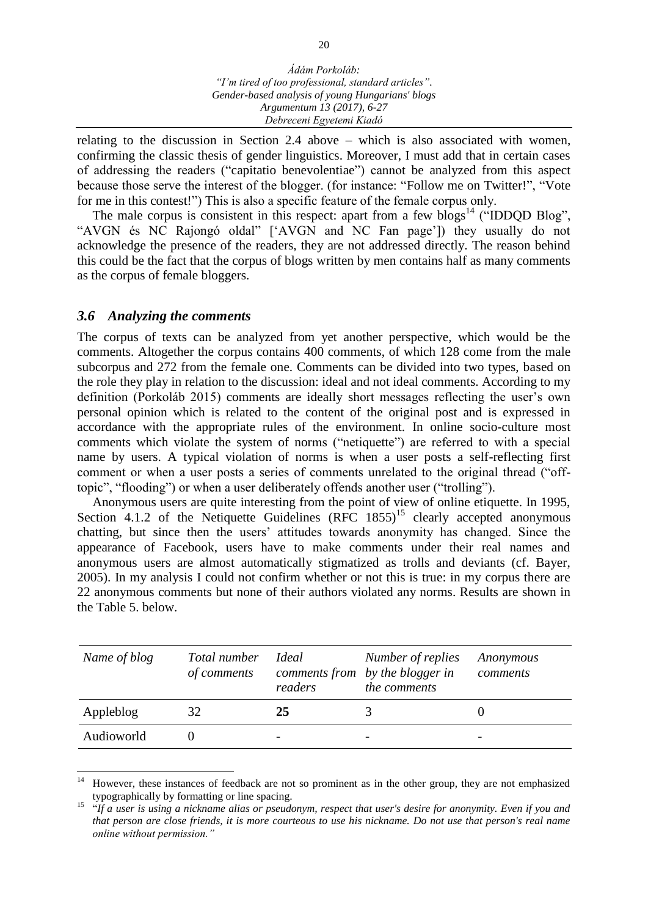relating to the discussion in Section 2.4 above – which is also associated with women, confirming the classic thesis of gender linguistics. Moreover, I must add that in certain cases of addressing the readers ("capitatio benevolentiae") cannot be analyzed from this aspect because those serve the interest of the blogger. (for instance: "Follow me on Twitter!", "Vote for me in this contest!") This is also a specific feature of the female corpus only.

The male corpus is consistent in this respect: apart from a few blogs<sup>14</sup> ("IDDQD Blog", "AVGN és NC Rajongó oldal" ['AVGN and NC Fan page']) they usually do not acknowledge the presence of the readers, they are not addressed directly. The reason behind this could be the fact that the corpus of blogs written by men contains half as many comments as the corpus of female bloggers.

## *3.6 Analyzing the comments*

The corpus of texts can be analyzed from yet another perspective, which would be the comments. Altogether the corpus contains 400 comments, of which 128 come from the male subcorpus and 272 from the female one. Comments can be divided into two types, based on the role they play in relation to the discussion: ideal and not ideal comments. According to my definition (Porkoláb 2015) comments are ideally short messages reflecting the user's own personal opinion which is related to the content of the original post and is expressed in accordance with the appropriate rules of the environment. In online socio-culture most comments which violate the system of norms ("netiquette") are referred to with a special name by users. A typical violation of norms is when a user posts a self-reflecting first comment or when a user posts a series of comments unrelated to the original thread ("offtopic", "flooding") or when a user deliberately offends another user ("trolling").

Anonymous users are quite interesting from the point of view of online etiquette. In 1995, Section 4.1.2 of the Netiquette Guidelines  $(RFC 1855)^{15}$  clearly accepted anonymous chatting, but since then the users' attitudes towards anonymity has changed. Since the appearance of Facebook, users have to make comments under their real names and anonymous users are almost automatically stigmatized as trolls and deviants (cf. Bayer, 2005). In my analysis I could not confirm whether or not this is true: in my corpus there are 22 anonymous comments but none of their authors violated any norms. Results are shown in the Table 5. below.

| Name of blog | Total number<br>of comments | <i>Ideal</i><br>readers | Number of replies<br>comments from by the blogger in<br>the comments | Anonymous<br>comments |
|--------------|-----------------------------|-------------------------|----------------------------------------------------------------------|-----------------------|
| Appleblog    | 32                          | 25                      |                                                                      |                       |
| Audioworld   |                             | -                       |                                                                      |                       |

 $\overline{a}$ <sup>14</sup> However, these instances of feedback are not so prominent as in the other group, they are not emphasized typographically by formatting or line spacing.

<sup>15</sup> "*If a user is using a nickname alias or pseudonym, respect that user's desire for anonymity. Even if you and that person are close friends, it is more courteous to use his nickname. Do not use that person's real name online without permission."*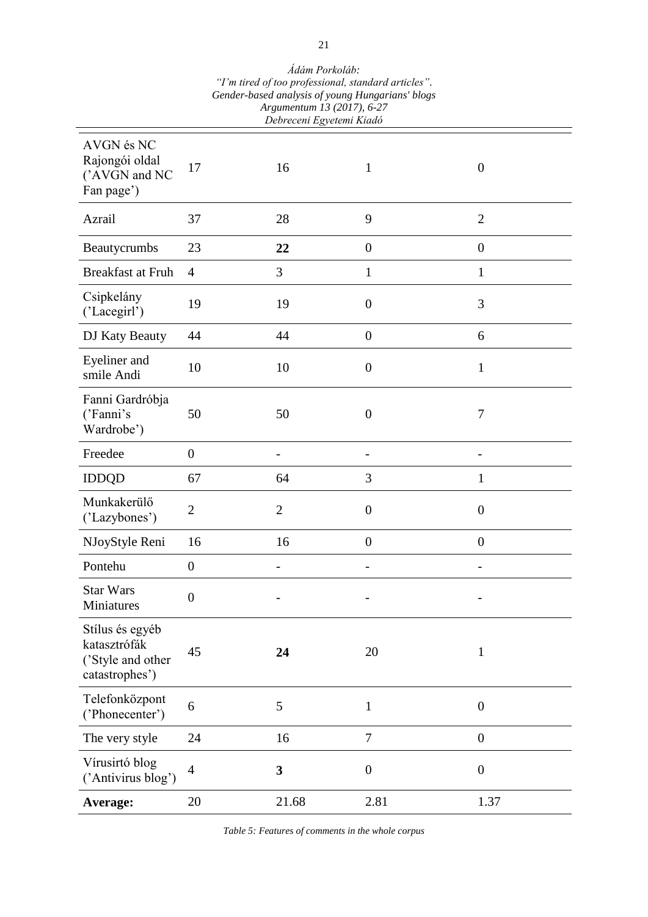| Genaer-basea anatysis of young Hungarians biogs<br>Argumentum 13 (2017), 6-27<br>Debreceni Egyetemi Kiadó |                  |                |                  |                  |  |  |  |
|-----------------------------------------------------------------------------------------------------------|------------------|----------------|------------------|------------------|--|--|--|
| AVGN és NC<br>Rajongói oldal<br>('AVGN and NC<br>Fan page')                                               | 17               | 16             | 1                | $\theta$         |  |  |  |
| Azrail                                                                                                    | 37               | 28             | 9                | $\overline{2}$   |  |  |  |
| Beautycrumbs                                                                                              | 23               | 22             | $\overline{0}$   | $\overline{0}$   |  |  |  |
| Breakfast at Fruh                                                                                         | $\overline{4}$   | 3              | $\mathbf{1}$     | $\mathbf{1}$     |  |  |  |
| Csipkelány<br>('Lacegirl')                                                                                | 19               | 19             | $\boldsymbol{0}$ | 3                |  |  |  |
| DJ Katy Beauty                                                                                            | 44               | 44             | $\boldsymbol{0}$ | 6                |  |  |  |
| Eyeliner and<br>smile Andi                                                                                | 10               | 10             | $\boldsymbol{0}$ | $\mathbf{1}$     |  |  |  |
| Fanni Gardróbja<br>('Fanni's<br>Wardrobe')                                                                | 50               | 50             | $\boldsymbol{0}$ | $\tau$           |  |  |  |
| Freedee                                                                                                   | $\overline{0}$   |                |                  |                  |  |  |  |
| <b>IDDQD</b>                                                                                              | 67               | 64             | 3                | 1                |  |  |  |
| Munkakerülő<br>('Lazybones')                                                                              | $\mathbf{2}$     | $\overline{2}$ | $\boldsymbol{0}$ | $\boldsymbol{0}$ |  |  |  |
| NJoyStyle Reni                                                                                            | 16               | 16             | $\overline{0}$   | $\overline{0}$   |  |  |  |
| Pontehu                                                                                                   | $\boldsymbol{0}$ | -              |                  | $\overline{a}$   |  |  |  |
| <b>Star Wars</b><br>Miniatures                                                                            | $\boldsymbol{0}$ |                |                  |                  |  |  |  |
| Stílus és egyéb<br>katasztrófák<br>('Style and other<br>catastrophes')                                    | 45               | 24             | 20               | $\mathbf{1}$     |  |  |  |
| Telefonközpont<br>('Phonecenter')                                                                         | 6                | 5              | $\mathbf{1}$     | $\overline{0}$   |  |  |  |
| The very style                                                                                            | 24               | 16             | 7                | $\boldsymbol{0}$ |  |  |  |
| Vírusirtó blog<br>('Antivirus blog')                                                                      | $\overline{4}$   | 3              | $\boldsymbol{0}$ | $\boldsymbol{0}$ |  |  |  |
| Average:                                                                                                  | 20               | 21.68          | 2.81             | 1.37             |  |  |  |

*Ádám Porkoláb: "I'm tired of too professional, standard articles". Gender-based analysis of young Hungarians' blogs*

*Table 5: Features of comments in the whole corpus*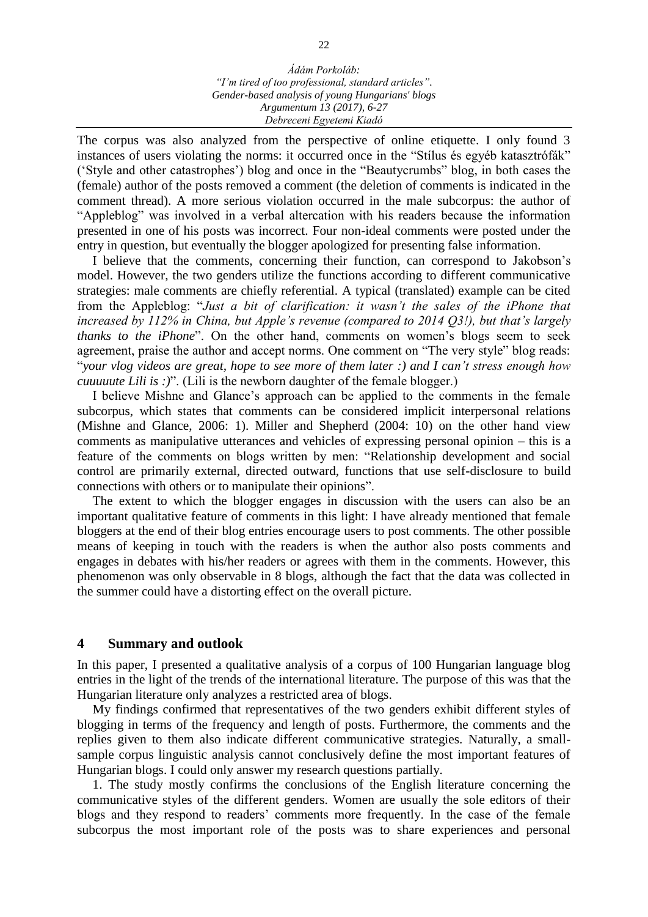The corpus was also analyzed from the perspective of online etiquette. I only found 3 instances of users violating the norms: it occurred once in the "Stílus és egyéb katasztrófák" ('Style and other catastrophes') blog and once in the "Beautycrumbs" blog, in both cases the (female) author of the posts removed a comment (the deletion of comments is indicated in the comment thread). A more serious violation occurred in the male subcorpus: the author of "Appleblog" was involved in a verbal altercation with his readers because the information presented in one of his posts was incorrect. Four non-ideal comments were posted under the entry in question, but eventually the blogger apologized for presenting false information.

I believe that the comments, concerning their function, can correspond to Jakobson's model. However, the two genders utilize the functions according to different communicative strategies: male comments are chiefly referential. A typical (translated) example can be cited from the Appleblog: "*Just a bit of clarification: it wasn't the sales of the iPhone that increased by 112% in China, but Apple's revenue (compared to 2014 Q3!), but that's largely thanks to the iPhone*". On the other hand, comments on women's blogs seem to seek agreement, praise the author and accept norms. One comment on "The very style" blog reads: "*your vlog videos are great, hope to see more of them later :) and I can't stress enough how cuuuuute Lili is :)*". (Lili is the newborn daughter of the female blogger.)

I believe Mishne and Glance's approach can be applied to the comments in the female subcorpus, which states that comments can be considered implicit interpersonal relations (Mishne and Glance, 2006: 1). Miller and Shepherd (2004: 10) on the other hand view comments as manipulative utterances and vehicles of expressing personal opinion – this is a feature of the comments on blogs written by men: "Relationship development and social control are primarily external, directed outward, functions that use self-disclosure to build connections with others or to manipulate their opinions".

The extent to which the blogger engages in discussion with the users can also be an important qualitative feature of comments in this light: I have already mentioned that female bloggers at the end of their blog entries encourage users to post comments. The other possible means of keeping in touch with the readers is when the author also posts comments and engages in debates with his/her readers or agrees with them in the comments. However, this phenomenon was only observable in 8 blogs, although the fact that the data was collected in the summer could have a distorting effect on the overall picture.

#### **4 Summary and outlook**

In this paper, I presented a qualitative analysis of a corpus of 100 Hungarian language blog entries in the light of the trends of the international literature. The purpose of this was that the Hungarian literature only analyzes a restricted area of blogs.

My findings confirmed that representatives of the two genders exhibit different styles of blogging in terms of the frequency and length of posts. Furthermore, the comments and the replies given to them also indicate different communicative strategies. Naturally, a smallsample corpus linguistic analysis cannot conclusively define the most important features of Hungarian blogs. I could only answer my research questions partially.

1. The study mostly confirms the conclusions of the English literature concerning the communicative styles of the different genders. Women are usually the sole editors of their blogs and they respond to readers' comments more frequently. In the case of the female subcorpus the most important role of the posts was to share experiences and personal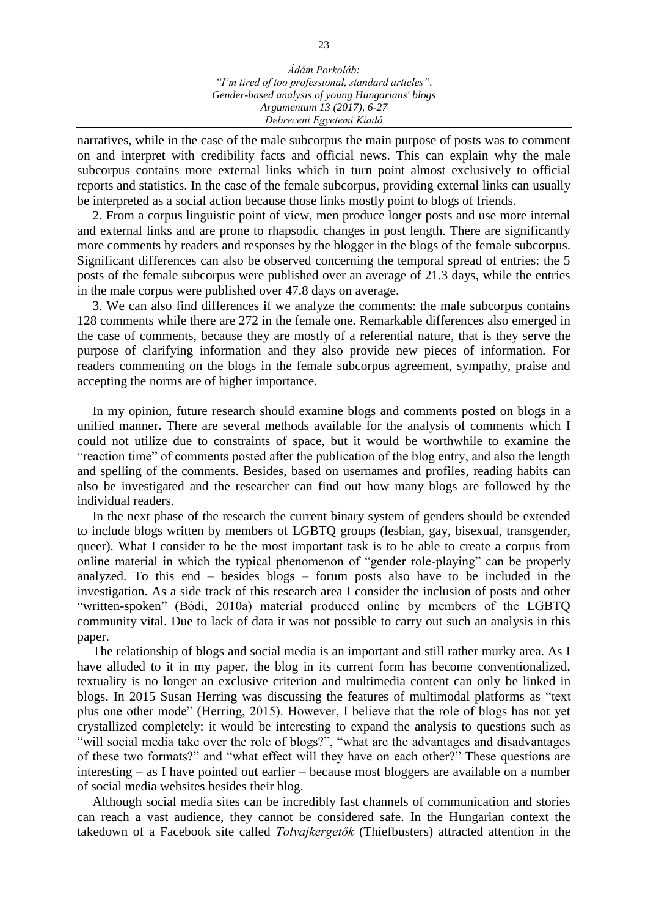narratives, while in the case of the male subcorpus the main purpose of posts was to comment on and interpret with credibility facts and official news. This can explain why the male subcorpus contains more external links which in turn point almost exclusively to official reports and statistics. In the case of the female subcorpus, providing external links can usually be interpreted as a social action because those links mostly point to blogs of friends.

2. From a corpus linguistic point of view, men produce longer posts and use more internal and external links and are prone to rhapsodic changes in post length. There are significantly more comments by readers and responses by the blogger in the blogs of the female subcorpus. Significant differences can also be observed concerning the temporal spread of entries: the 5 posts of the female subcorpus were published over an average of 21.3 days, while the entries in the male corpus were published over 47.8 days on average.

3. We can also find differences if we analyze the comments: the male subcorpus contains 128 comments while there are 272 in the female one. Remarkable differences also emerged in the case of comments, because they are mostly of a referential nature, that is they serve the purpose of clarifying information and they also provide new pieces of information. For readers commenting on the blogs in the female subcorpus agreement, sympathy, praise and accepting the norms are of higher importance.

In my opinion, future research should examine blogs and comments posted on blogs in a unified manner**.** There are several methods available for the analysis of comments which I could not utilize due to constraints of space, but it would be worthwhile to examine the "reaction time" of comments posted after the publication of the blog entry, and also the length and spelling of the comments. Besides, based on usernames and profiles, reading habits can also be investigated and the researcher can find out how many blogs are followed by the individual readers.

In the next phase of the research the current binary system of genders should be extended to include blogs written by members of LGBTQ groups (lesbian, gay, bisexual, transgender, queer). What I consider to be the most important task is to be able to create a corpus from online material in which the typical phenomenon of "gender role-playing" can be properly analyzed. To this end – besides blogs – forum posts also have to be included in the investigation. As a side track of this research area I consider the inclusion of posts and other "written-spoken" (Bódi, 2010a) material produced online by members of the LGBTQ community vital. Due to lack of data it was not possible to carry out such an analysis in this paper.

The relationship of blogs and social media is an important and still rather murky area. As I have alluded to it in my paper, the blog in its current form has become conventionalized, textuality is no longer an exclusive criterion and multimedia content can only be linked in blogs. In 2015 Susan Herring was discussing the features of multimodal platforms as "text plus one other mode" (Herring, 2015). However, I believe that the role of blogs has not yet crystallized completely: it would be interesting to expand the analysis to questions such as "will social media take over the role of blogs?", "what are the advantages and disadvantages of these two formats?" and "what effect will they have on each other?" These questions are interesting – as I have pointed out earlier – because most bloggers are available on a number of social media websites besides their blog.

Although social media sites can be incredibly fast channels of communication and stories can reach a vast audience, they cannot be considered safe. In the Hungarian context the takedown of a Facebook site called *Tolvajkergetők* (Thiefbusters) attracted attention in the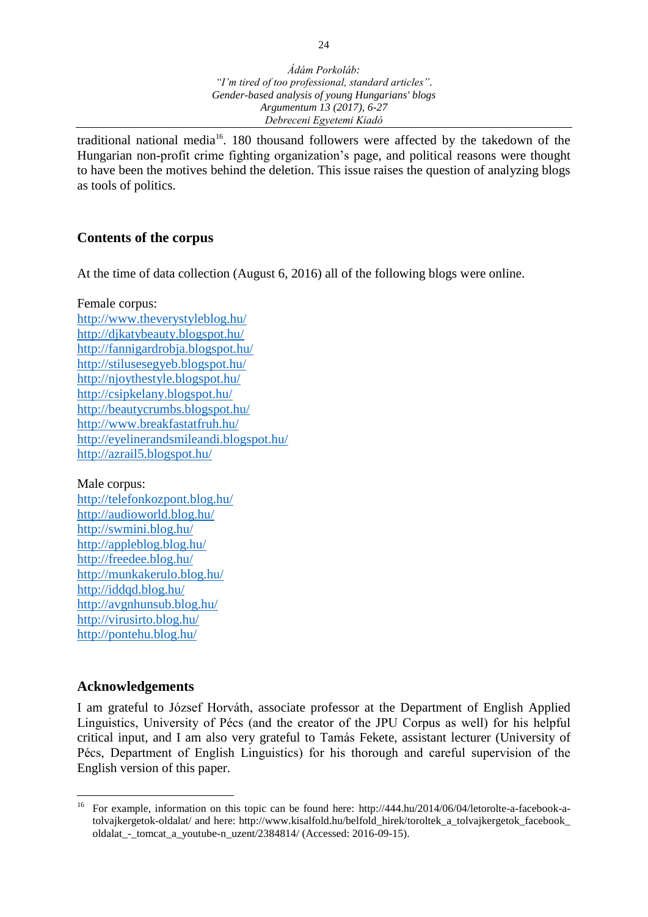traditional national media<sup>16</sup>. 180 thousand followers were affected by the takedown of the Hungarian non-profit crime fighting organization's page, and political reasons were thought to have been the motives behind the deletion. This issue raises the question of analyzing blogs as tools of politics.

## **Contents of the corpus**

At the time of data collection (August 6, 2016) all of the following blogs were online.

Female corpus:

<http://www.theverystyleblog.hu/> <http://djkatybeauty.blogspot.hu/> <http://fannigardrobja.blogspot.hu/> <http://stilusesegyeb.blogspot.hu/> <http://njoythestyle.blogspot.hu/> <http://csipkelany.blogspot.hu/> <http://beautycrumbs.blogspot.hu/> <http://www.breakfastatfruh.hu/> <http://eyelinerandsmileandi.blogspot.hu/> <http://azrail5.blogspot.hu/>

Male corpus:

<http://telefonkozpont.blog.hu/> <http://audioworld.blog.hu/> <http://swmini.blog.hu/> <http://appleblog.blog.hu/> <http://freedee.blog.hu/> <http://munkakerulo.blog.hu/> <http://iddqd.blog.hu/> <http://avgnhunsub.blog.hu/> <http://virusirto.blog.hu/> <http://pontehu.blog.hu/>

## **Acknowledgements**

I am grateful to József Horváth, associate professor at the Department of English Applied Linguistics, University of Pécs (and the creator of the JPU Corpus as well) for his helpful critical input, and I am also very grateful to Tamás Fekete, assistant lecturer (University of Pécs, Department of English Linguistics) for his thorough and careful supervision of the English version of this paper.

 $16\,$ <sup>16</sup> For example, information on this topic can be found here: http://444.hu/2014/06/04/letorolte-a-facebook-atolvajkergetok-oldalat/ and here: http://www.kisalfold.hu/belfold\_hirek/toroltek\_a\_tolvajkergetok\_facebook\_ oldalat\_-\_tomcat\_a\_youtube-n\_uzent/2384814/ (Accessed: 2016-09-15).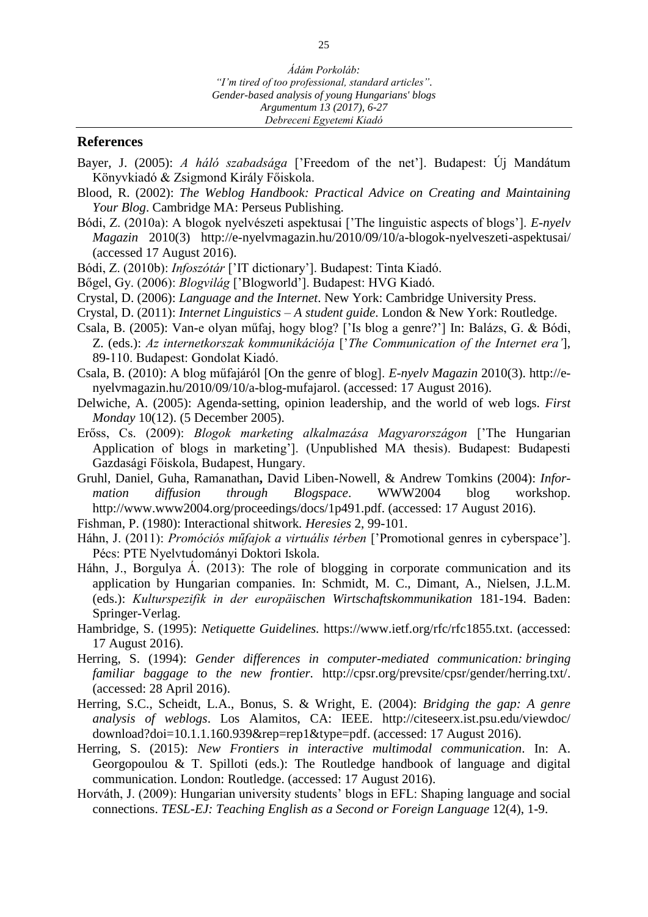## **References**

- Bayer, J. (2005): *A háló szabadsága* ['Freedom of the net']. Budapest: Új Mandátum Könyvkiadó & Zsigmond Király Főiskola.
- Blood, R. (2002): *The Weblog Handbook: Practical Advice on Creating and Maintaining Your Blog*. Cambridge MA: Perseus Publishing.
- Bódi, Z. (2010a): A blogok nyelvészeti aspektusai ['The linguistic aspects of blogs']. *E-nyelv Magazin* 2010(3) http://e-nyelvmagazin.hu/2010/09/10/a-blogok-nyelveszeti-aspektusai/ (accessed 17 August 2016).
- Bódi, Z. (2010b): *Infoszótár* ['IT dictionary']. Budapest: Tinta Kiadó.
- Bőgel, Gy. (2006): *Blogvilág* ['Blogworld']. Budapest: HVG Kiadó.
- Crystal, D. (2006): *Language and the Internet*. New York: Cambridge University Press.
- Crystal, D. (2011): *Internet Linguistics – A student guide*. London & New York: Routledge.
- Csala, B. (2005): Van-e olyan műfaj, hogy blog? ['Is blog a genre?'] In: Balázs, G. & Bódi, Z. (eds.): *Az internetkorszak kommunikációja* ['*The Communication of the Internet era'*], 89-110. Budapest: Gondolat Kiadó.
- Csala, B. (2010): A blog műfajáról [On the genre of blog]. *E-nyelv Magazin* 2010(3). http://enyelvmagazin.hu/2010/09/10/a-blog-mufajarol. (accessed: 17 August 2016).
- Delwiche, A. (2005): Agenda-setting, opinion leadership, and the world of web logs. *First Monday* 10(12). (5 December 2005).
- Erőss, Cs. (2009): *Blogok marketing alkalmazása Magyarországon* ['The Hungarian Application of blogs in marketing']. (Unpublished MA thesis). Budapest: Budapesti Gazdasági Főiskola, Budapest, Hungary.
- Gruhl, Daniel, Guha, Ramanathan**,** David Liben-Nowell, & Andrew Tomkins (2004): *Information diffusion through Blogspace*. WWW2004 blog workshop. http://www.www2004.org/proceedings/docs/1p491.pdf. (accessed: 17 August 2016).
- Fishman, P. (1980): Interactional shitwork*. Heresies* 2, 99-101.
- Háhn, J. (2011): *Promóciós műfajok a virtuális térben* ['Promotional genres in cyberspace']. Pécs: PTE Nyelvtudományi Doktori Iskola.
- Háhn, J., Borgulya Á. (2013): The role of blogging in corporate communication and its application by Hungarian companies. In: Schmidt, M. C., Dimant, A., Nielsen, J.L.M. (eds.): *Kulturspezifik in der europäischen Wirtschaftskommunikation* 181-194. Baden: Springer-Verlag.
- Hambridge, S. (1995): *Netiquette Guidelines.* [https://www.ietf.org/rfc/rfc1855.txt.](https://www.ietf.org/rfc/rfc1855.txt) (accessed: 17 August 2016).
- Herring, S. (1994): *Gender differences in computer-mediated communication: bringing familiar baggage to the new frontier.* [http://cpsr.org/prevsite/cpsr/gender/herring.txt/.](http://cpsr.org/prevsite/cpsr/gender/herring.txt/) (accessed: 28 April 2016).
- Herring, S.C., Scheidt, L.A., Bonus, S. & Wright, E. (2004): *Bridging the gap: A genre analysis of weblogs*. Los Alamitos, CA: IEEE. http://citeseerx.ist.psu.edu/viewdoc/ download?doi=10.1.1.160.939&rep=rep1&type=pdf. (accessed: 17 August 2016).
- Herring, S. (2015): *New Frontiers in interactive multimodal communication*. In: A. Georgopoulou & T. Spilloti (eds.): The Routledge handbook of language and digital communication. London: Routledge. (accessed: 17 August 2016).
- Horváth, J. (2009): Hungarian university students' blogs in EFL: Shaping language and social connections. *TESL-EJ: Teaching English as a Second or Foreign Language* 12(4), 1-9.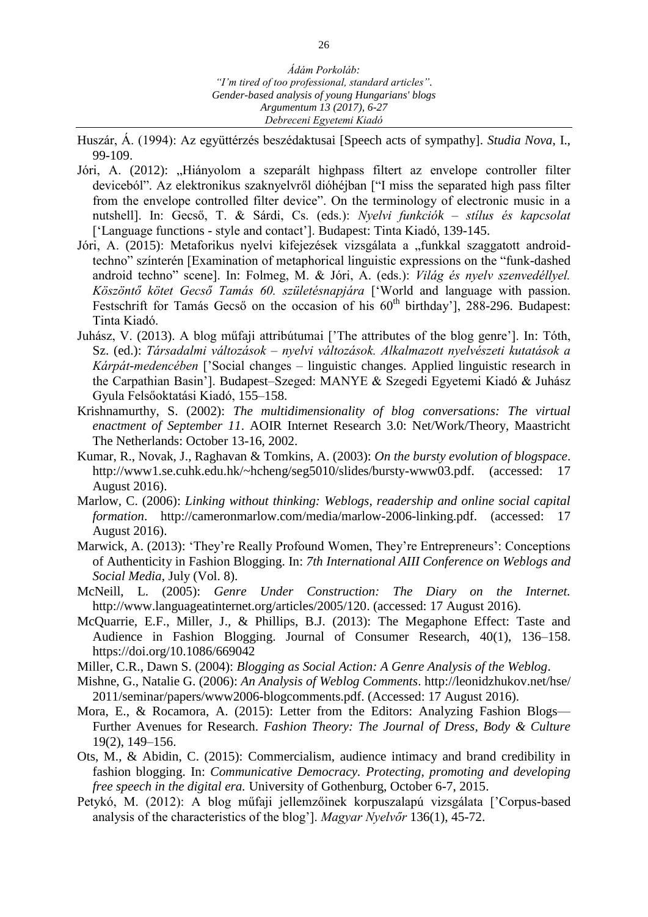- Huszár, Á. (1994): Az együttérzés beszédaktusai [Speech acts of sympathy]. *Studia Nova*, I., 99-109.
- Jóri, A. (2012): "Hiányolom a szeparált highpass filtert az envelope controller filter deviceból". Az elektronikus szaknyelvről dióhéjban ["I miss the separated high pass filter from the envelope controlled filter device". On the terminology of electronic music in a nutshell]. In: Gecső, T. & Sárdi, Cs. (eds.): *Nyelvi funkciók – stílus és kapcsolat* ['Language functions - style and contact']. Budapest: Tinta Kiadó, 139-145.
- Jóri, A. (2015): Metaforikus nyelvi kifejezések vizsgálata a "funkkal szaggatott androidtechno" színterén [Examination of metaphorical linguistic expressions on the "funk-dashed android techno" scene]. In: Folmeg, M. & Jóri, A. (eds.): *Világ és nyelv szenvedéllyel. Köszöntő kötet Gecső Tamás 60. születésnapjára* ['World and language with passion. Festschrift for Tamás Gecső on the occasion of his  $60<sup>th</sup>$  birthday'], 288-296. Budapest: Tinta Kiadó.
- Juhász, V. (2013). A blog műfaji attribútumai ['The attributes of the blog genre']. In: Tóth, Sz. (ed.): *Társadalmi változások – nyelvi változások. Alkalmazott nyelvészeti kutatások a Kárpát-medencében* ['Social changes – linguistic changes. Applied linguistic research in the Carpathian Basin']. Budapest–Szeged: MANYE & Szegedi Egyetemi Kiadó & Juhász Gyula Felsőoktatási Kiadó, 155–158.
- Krishnamurthy, S. (2002): *The multidimensionality of blog conversations: The virtual enactment of September 11*. AOIR Internet Research 3.0: Net/Work/Theory, Maastricht The Netherlands: October 13-16, 2002.
- Kumar, R., Novak, J., Raghavan & Tomkins, A. (2003): *On the bursty evolution of blogspace*. [http://www1.se.cuhk.edu.hk/~hcheng/seg5010/slides/bursty-www03.pdf.](http://www1.se.cuhk.edu.hk/~hcheng/seg5010/slides/bursty-www03.pdf) (accessed: 17 August 2016).
- Marlow, C. (2006): *Linking without thinking: Weblogs, readership and online social capital formation*. [http://cameronmarlow.com/media/marlow-2006-linking.pdf.](http://cameronmarlow.com/media/marlow-2006-linking.pdf) (accessed: 17 August 2016).
- Marwick, A. (2013): 'They're Really Profound Women, They're Entrepreneurs': Conceptions of Authenticity in Fashion Blogging. In: *7th International AIII Conference on Weblogs and Social Media*, July (Vol. 8).
- McNeill, L. (2005): *Genre Under Construction: The Diary on the Internet.* [http://www.languageatinternet.org/articles/2005/120.](http://www.languageatinternet.org/articles/2005/120) (accessed: 17 August 2016).
- McQuarrie, E.F., Miller, J., & Phillips, B.J. (2013): The Megaphone Effect: Taste and Audience in Fashion Blogging. Journal of Consumer Research, 40(1), 136–158. https://doi.org/10.1086/669042
- Miller, C.R., Dawn S. (2004): *Blogging as Social Action: A Genre Analysis of the Weblog*.
- Mishne, G., Natalie G. (2006): *An Analysis of Weblog Comments*. http://leonidzhukov.net/hse/ 2011/seminar/papers/www2006-blogcomments.pdf. (Accessed: 17 August 2016).
- Mora, E., & Rocamora, A. (2015): Letter from the Editors: Analyzing Fashion Blogs— Further Avenues for Research. *Fashion Theory: The Journal of Dress, Body & Culture* 19(2), 149–156.
- Ots, M., & Abidin, C. (2015): Commercialism, audience intimacy and brand credibility in fashion blogging. In: *Communicative Democracy. Protecting, promoting and developing free speech in the digital era.* University of Gothenburg, October 6-7, 2015.
- Petykó, M. (2012): A blog műfaji jellemzőinek korpuszalapú vizsgálata ['Corpus-based analysis of the characteristics of the blog']. *Magyar Nyelvőr* 136(1), 45-72.